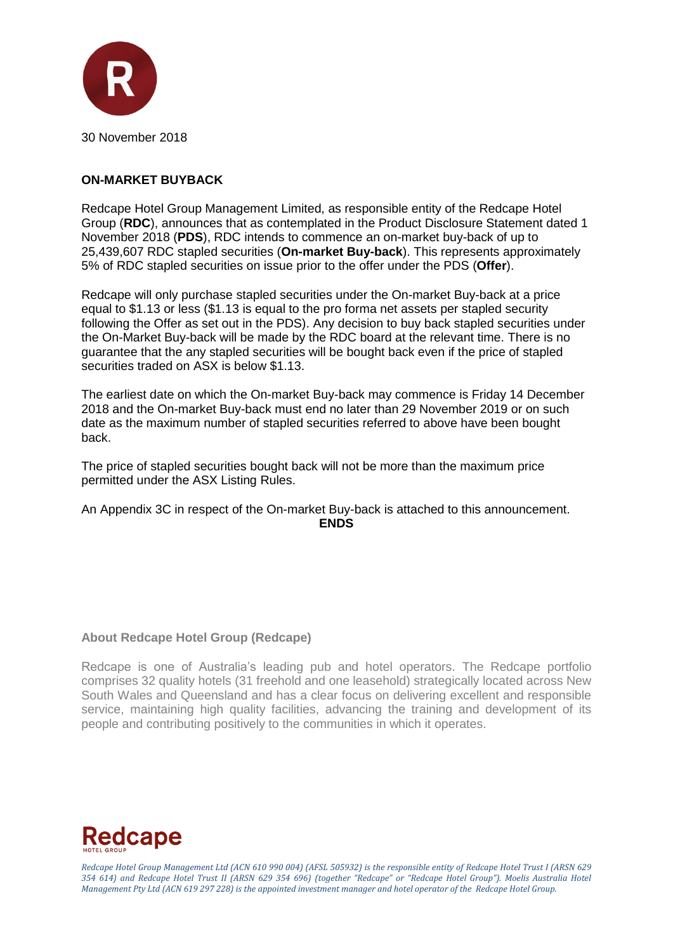

#### **ON-MARKET BUYBACK**

Redcape Hotel Group Management Limited, as responsible entity of the Redcape Hotel Group (**RDC**), announces that as contemplated in the Product Disclosure Statement dated 1 November 2018 (**PDS**), RDC intends to commence an on-market buy-back of up to 25,439,607 RDC stapled securities (**On-market Buy-back**). This represents approximately 5% of RDC stapled securities on issue prior to the offer under the PDS (**Offer**).

Redcape will only purchase stapled securities under the On-market Buy-back at a price equal to \$1.13 or less (\$1.13 is equal to the pro forma net assets per stapled security following the Offer as set out in the PDS). Any decision to buy back stapled securities under the On-Market Buy-back will be made by the RDC board at the relevant time. There is no guarantee that the any stapled securities will be bought back even if the price of stapled securities traded on ASX is below \$1.13.

The earliest date on which the On-market Buy-back may commence is Friday 14 December 2018 and the On-market Buy-back must end no later than 29 November 2019 or on such date as the maximum number of stapled securities referred to above have been bought back.

The price of stapled securities bought back will not be more than the maximum price permitted under the ASX Listing Rules.

An Appendix 3C in respect of the On-market Buy-back is attached to this announcement. **ENDS**

#### **About Redcape Hotel Group (Redcape)**

Redcape is one of Australia's leading pub and hotel operators. The Redcape portfolio comprises 32 quality hotels (31 freehold and one leasehold) strategically located across New South Wales and Queensland and has a clear focus on delivering excellent and responsible service, maintaining high quality facilities, advancing the training and development of its people and contributing positively to the communities in which it operates.



*Redcape Hotel Group Management Ltd (ACN 610 990 004) (AFSL 505932) is the responsible entity of Redcape Hotel Trust I (ARSN 629 354 614) and Redcape Hotel Trust II (ARSN 629 354 696) (together "Redcape" or "Redcape Hotel Group"). Moelis Australia Hotel Management Pty Ltd (ACN 619 297 228) is the appointed investment manager and hotel operator of the Redcape Hotel Group.*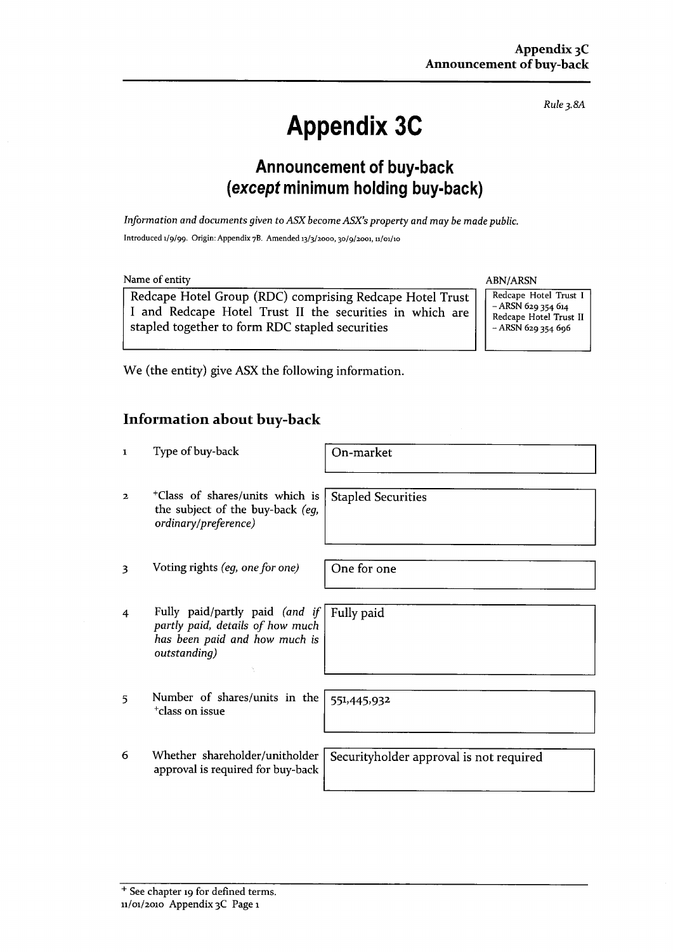Rule 3.8A

# **Appendix 3C**

## **Announcement of buy-back** (except minimum holding buy-back)

Information and documents given to ASX become ASX's property and may be made public. Introduced 1/9/99. Origin: Appendix 7B. Amended 13/3/2000, 30/9/2001, 11/01/10

Name of entity

Redcape Hotel Group (RDC) comprising Redcape Hotel Trust I and Redcape Hotel Trust II the securities in which are stapled together to form RDC stapled securities

ABN/ARSN

Redcape Hotel Trust I  $-$  ARSN 629 354 614 Redcape Hotel Trust II  $-$  ARSN 629 354 696

We (the entity) give ASX the following information.

## **Information about buy-back**

| $\mathbf{1}$   | Type of buy-back                                                                                                                 | On-market                               |
|----------------|----------------------------------------------------------------------------------------------------------------------------------|-----------------------------------------|
| $\mathbf{2}$   | <sup>+</sup> Class of shares/units which is<br>the subject of the buy-back (eq,<br>ordinary/preference)                          | <b>Stapled Securities</b>               |
| 3              | Voting rights (eg, one for one)                                                                                                  | One for one                             |
| $\overline{4}$ | Fully paid/partly paid (and if   Fully paid<br>partly paid, details of how much<br>has been paid and how much is<br>outstanding) |                                         |
| 5              | Number of shares/units in the<br><sup>+</sup> class on issue                                                                     | 551,445,932                             |
| 6              | Whether shareholder/unitholder<br>approval is required for buy-back                                                              | Securityholder approval is not required |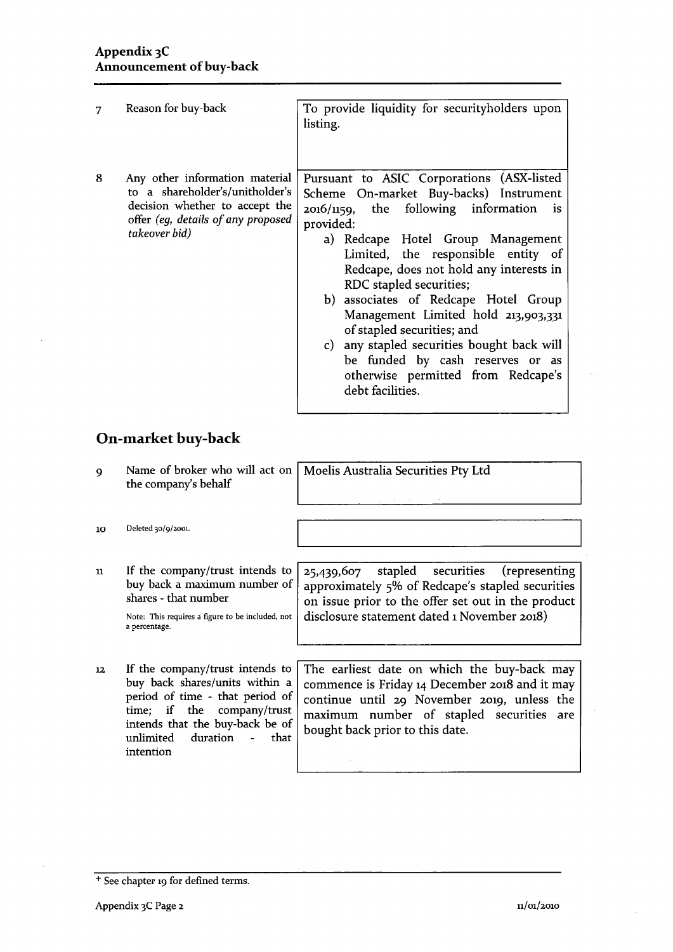| 7 | Reason for buy-back                                                                                                                                        | To provide liquidity for securityholders upon<br>listing.                                                                                                                                                                                                                                                                                                                                                                                                                                                                                                    |
|---|------------------------------------------------------------------------------------------------------------------------------------------------------------|--------------------------------------------------------------------------------------------------------------------------------------------------------------------------------------------------------------------------------------------------------------------------------------------------------------------------------------------------------------------------------------------------------------------------------------------------------------------------------------------------------------------------------------------------------------|
| 8 | Any other information material<br>to a shareholder's/unitholder's<br>decision whether to accept the<br>offer (eg, details of any proposed<br>takeover bid) | Pursuant to ASIC Corporations (ASX-listed<br>Scheme On-market Buy-backs) Instrument<br>$2016/1159$ , the following information<br>is.<br>provided:<br>a) Redcape Hotel Group Management<br>Limited, the responsible entity of<br>Redcape, does not hold any interests in<br>RDC stapled securities;<br>b) associates of Redcape Hotel Group<br>Management Limited hold 213,903,331<br>of stapled securities; and<br>c) any stapled securities bought back will<br>be funded by cash reserves or as<br>otherwise permitted from Redcape's<br>debt facilities. |

# On-market buy-back

| 9                | the company's behalf                                                                                                                                                                                                   | Name of broker who will act on   Moelis Australia Securities Pty Ltd                                                                                                                                                           |
|------------------|------------------------------------------------------------------------------------------------------------------------------------------------------------------------------------------------------------------------|--------------------------------------------------------------------------------------------------------------------------------------------------------------------------------------------------------------------------------|
| 10               | Deleted 30/9/2001.                                                                                                                                                                                                     |                                                                                                                                                                                                                                |
| 11               | If the company/trust intends to<br>buy back a maximum number of<br>shares - that number<br>Note: This requires a figure to be included, not<br>a percentage.                                                           | stapled securities<br>(representing<br>25,439,607<br>approximately 5% of Redcape's stapled securities<br>on issue prior to the offer set out in the product<br>disclosure statement dated 1 November 2018)                     |
| 12 <sub>12</sub> | If the company/trust intends to<br>buy back shares/units within a<br>period of time - that period of<br>time; if the<br>company/trust<br>intends that the buy-back be of<br>duration<br>unlimited<br>that<br>intention | The earliest date on which the buy-back may<br>commence is Friday 14 December 2018 and it may<br>continue until 29 November 2019, unless the<br>maximum number of stapled securities<br>are<br>bought back prior to this date. |

<sup>+</sup> See chapter 19 for defined terms.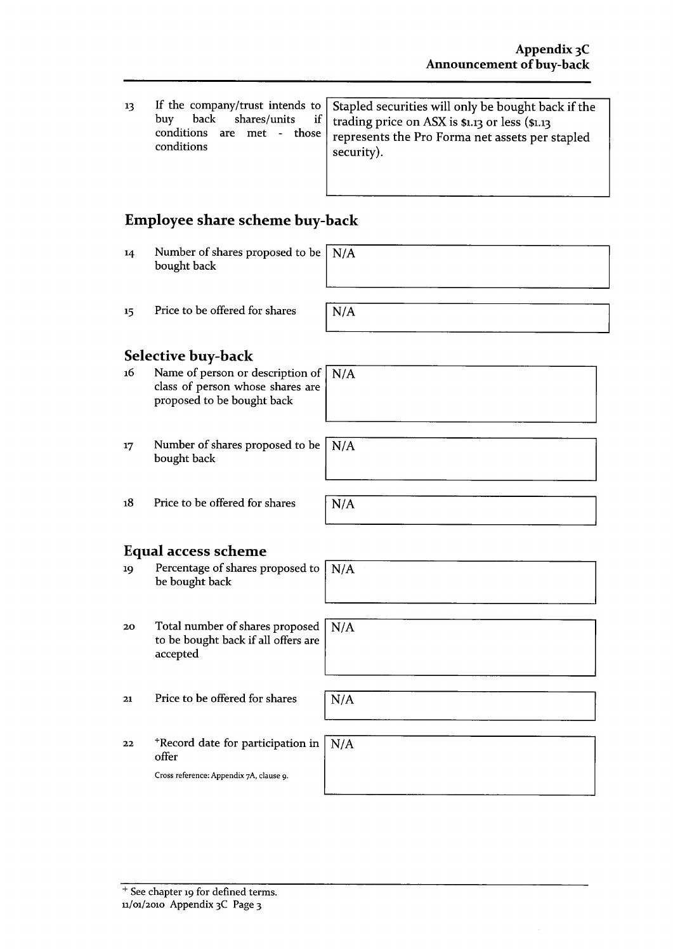| 13 | buv.<br>conditions | If the company/trust intends to $ $ Stapled securities will only be bought back if the<br>back shares/units if $\vert$ trading price on ASX is \$1.13 or less (\$1.13<br>conditions are met - those $ $ represents the Pro Forma net assets per stapled<br>security). |
|----|--------------------|-----------------------------------------------------------------------------------------------------------------------------------------------------------------------------------------------------------------------------------------------------------------------|
|----|--------------------|-----------------------------------------------------------------------------------------------------------------------------------------------------------------------------------------------------------------------------------------------------------------------|

## Employee share scheme buy-back

Number of shares proposed to be  $N/A$  $14$ bought back

Price to be offered for shares 15

| <b>Selective buy-back</b> |
|---------------------------|

- Name of person or description of  $\sqrt{\frac{N}{A}}$ 16 class of person whose shares are proposed to be bought back
- Number of shares proposed to be  $\left\lceil \right. N/A$  $17$ bought back

 $18$ Price to be offered for shares

## **Equal access scheme**

- Percentage of shares proposed to 19  $N/A$ be bought back
- Total number of shares proposed  $\sqrt{\rm N/A}$  $20$ to be bought back if all offers are accepted
- Price to be offered for shares  $21$

 $N/A$ 

\*Record date for participation  $22$ offer

Cross reference: Appendix 7A, clause 9.

| in $\sqrt{\rm N/A}$ |  |  |  |
|---------------------|--|--|--|
|                     |  |  |  |
|                     |  |  |  |

 $\overline{N/A}$ 

 $N/A$